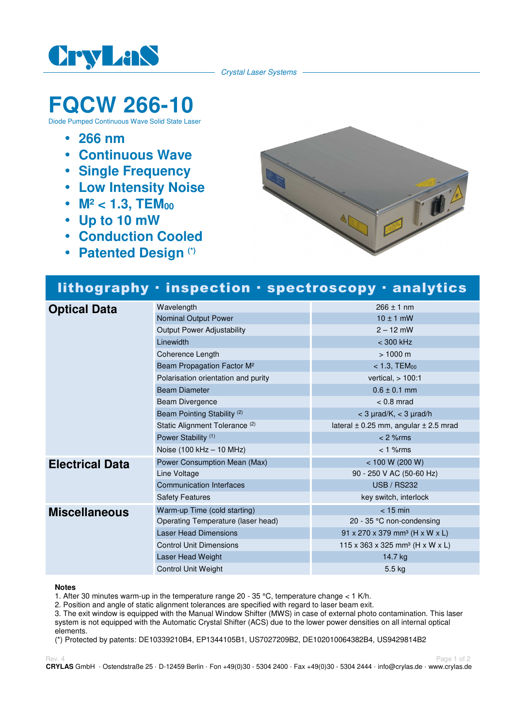

Crystal Laser Systems

# **FQCW 266-10**

Diode Pumped Continuous Wave Solid State Laser

- **266 nm**
- **Continuous Wave**
- **Single Frequency**
- **Low Intensity Noise**
- M<sup>2</sup> < 1.3, TEM<sub>00</sub>
- **Up to 10 mW**
- **Conduction Cooled**
- **Patented Design (\*)**



## lithography · inspection · spectroscopy · analytics

| <b>Optical Data</b>    | Wavelength                                | $266 \pm 1$ nm                                |
|------------------------|-------------------------------------------|-----------------------------------------------|
|                        | Nominal Output Power                      | $10 \pm 1$ mW                                 |
|                        | <b>Output Power Adjustability</b>         | $2 - 12$ mW                                   |
|                        | Linewidth                                 | $<$ 300 kHz                                   |
|                        | Coherence Length                          | $> 1000 \text{ m}$                            |
|                        | Beam Propagation Factor M <sup>2</sup>    | $<$ 1.3, TEM $_{00}$                          |
|                        | Polarisation orientation and purity       | vertical, $> 100:1$                           |
|                        | <b>Beam Diameter</b>                      | $0.6 \pm 0.1$ mm                              |
|                        | <b>Beam Divergence</b>                    | $< 0.8$ mrad                                  |
|                        | Beam Pointing Stability <sup>(2)</sup>    | $<$ 3 $\mu$ rad/K, $<$ 3 $\mu$ rad/h          |
|                        | Static Alignment Tolerance <sup>(2)</sup> | lateral $\pm$ 0.25 mm, angular $\pm$ 2.5 mrad |
|                        | Power Stability <sup>(1)</sup>            | $< 2$ % rms                                   |
|                        | Noise (100 kHz - 10 MHz)                  | $< 1$ % $rms$                                 |
| <b>Electrical Data</b> | Power Consumption Mean (Max)              | < 100 W (200 W)                               |
|                        | Line Voltage                              | 90 - 250 V AC (50-60 Hz)                      |
|                        | <b>Communication Interfaces</b>           | <b>USB / RS232</b>                            |
|                        | <b>Safety Features</b>                    | key switch, interlock                         |
| <b>Miscellaneous</b>   | Warm-up Time (cold starting)              | $<$ 15 min                                    |
|                        | Operating Temperature (laser head)        | 20 - 35 °C non-condensing                     |
|                        | <b>Laser Head Dimensions</b>              | 91 x 270 x 379 mm <sup>3</sup> (H x W x L)    |
|                        | <b>Control Unit Dimensions</b>            | 115 x 363 x 325 mm <sup>3</sup> (H x W x L)   |
|                        | Laser Head Weight                         | 14.7 kg                                       |
|                        | <b>Control Unit Weight</b>                | 5.5 kg                                        |

#### **Notes**

1. After 30 minutes warm-up in the temperature range  $20 - 35$  °C, temperature change < 1 K/h.

2. Position and angle of static alignment tolerances are specified with regard to laser beam exit.

3. The exit window is equipped with the Manual Window Shifter (MWS) in case of external photo contamination. This laser system is not equipped with the Automatic Crystal Shifter (ACS) due to the lower power densities on all internal optical elements.

(\*) Protected by patents: DE10339210B4, EP1344105B1, US7027209B2, DE102010064382B4, US9429814B2

Rev. 4 Page 1 of 2 **CRYLAS** GmbH · Ostendstraße 25 · D-12459 Berlin · Fon +49(0)30 - 5304 2400 · Fax +49(0)30 - 5304 2444 · info@crylas.de · www.crylas.de